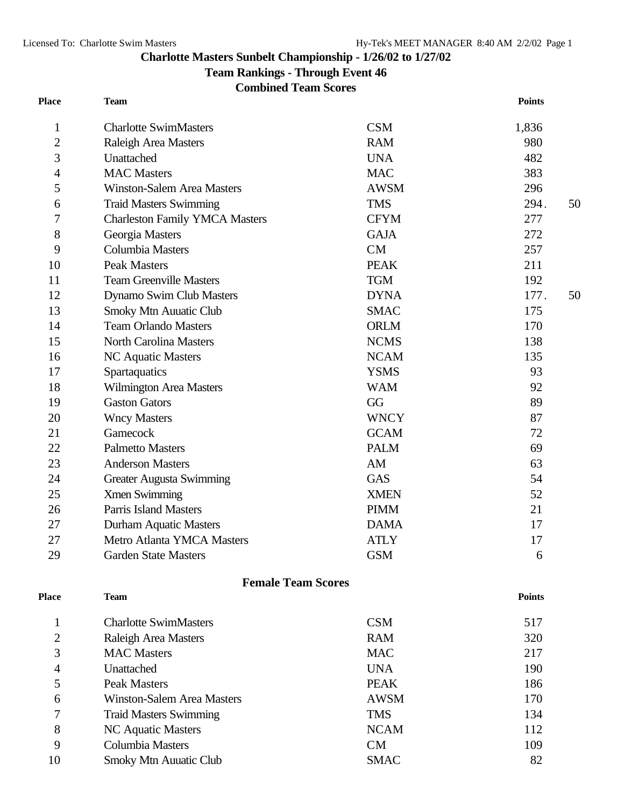## **Charlotte Masters Sunbelt Championship - 1/26/02 to 1/27/02**

**Team Rankings - Through Event 46**

**Combined Team Scores**

| <b>Place</b>   | <b>Team</b>                           |             | <b>Points</b> |
|----------------|---------------------------------------|-------------|---------------|
| 1              | <b>Charlotte SwimMasters</b>          | <b>CSM</b>  | 1,836         |
| $\overline{2}$ | Raleigh Area Masters                  | <b>RAM</b>  | 980           |
| 3              | Unattached                            | <b>UNA</b>  | 482           |
| 4              | <b>MAC</b> Masters                    | <b>MAC</b>  | 383           |
| 5              | <b>Winston-Salem Area Masters</b>     | <b>AWSM</b> | 296           |
| 6              | <b>Traid Masters Swimming</b>         | <b>TMS</b>  | 294.<br>50    |
| 7              | <b>Charleston Family YMCA Masters</b> | <b>CFYM</b> | 277           |
| 8              | Georgia Masters                       | <b>GAJA</b> | 272           |
| 9              | Columbia Masters                      | CM          | 257           |
| 10             | <b>Peak Masters</b>                   | <b>PEAK</b> | 211           |
| 11             | <b>Team Greenville Masters</b>        | <b>TGM</b>  | 192           |
| 12             | Dynamo Swim Club Masters              | <b>DYNA</b> | 177.<br>50    |
| 13             | <b>Smoky Mtn Auuatic Club</b>         | <b>SMAC</b> | 175           |
| 14             | <b>Team Orlando Masters</b>           | <b>ORLM</b> | 170           |
| 15             | <b>North Carolina Masters</b>         | <b>NCMS</b> | 138           |
| 16             | NC Aquatic Masters                    | <b>NCAM</b> | 135           |
| 17             | Spartaquatics                         | <b>YSMS</b> | 93            |
| 18             | <b>Wilmington Area Masters</b>        | <b>WAM</b>  | 92            |
| 19             | <b>Gaston Gators</b>                  | GG          | 89            |
| 20             | <b>Wncy Masters</b>                   | <b>WNCY</b> | 87            |
| 21             | Gamecock                              | <b>GCAM</b> | 72            |
| 22             | <b>Palmetto Masters</b>               | <b>PALM</b> | 69            |
| 23             | <b>Anderson Masters</b>               | AM          | 63            |
| 24             | <b>Greater Augusta Swimming</b>       | <b>GAS</b>  | 54            |
| 25             | <b>Xmen Swimming</b>                  | <b>XMEN</b> | 52            |
| 26             | <b>Parris Island Masters</b>          | <b>PIMM</b> | 21            |
| 27             | Durham Aquatic Masters                | <b>DAMA</b> | 17            |
| 27             | Metro Atlanta YMCA Masters            | <b>ATLY</b> | 17            |
| 29             | <b>Garden State Masters</b>           | <b>GSM</b>  | 6             |
|                | <b>Female Team Scores</b>             |             |               |
| <b>Place</b>   | <b>Team</b>                           |             | <b>Points</b> |
| 1              | <b>Charlotte SwimMasters</b>          | <b>CSM</b>  | 517           |
| $\overline{2}$ | <b>Raleigh Area Masters</b>           | <b>RAM</b>  | 320           |
| 3              | <b>MAC Masters</b>                    | <b>MAC</b>  | 217           |
| 4              | Unattached                            | <b>UNA</b>  | 190           |
| 5              | <b>Peak Masters</b>                   | <b>PEAK</b> | 186           |
| 6              | <b>Winston-Salem Area Masters</b>     | <b>AWSM</b> | 170           |
| 7              | <b>Traid Masters Swimming</b>         | <b>TMS</b>  | 134           |
| 8              | NC Aquatic Masters                    | <b>NCAM</b> | 112           |
| 9              | Columbia Masters                      | CM          | 109           |
| 10             | Smoky Mtn Auuatic Club                | <b>SMAC</b> | 82            |